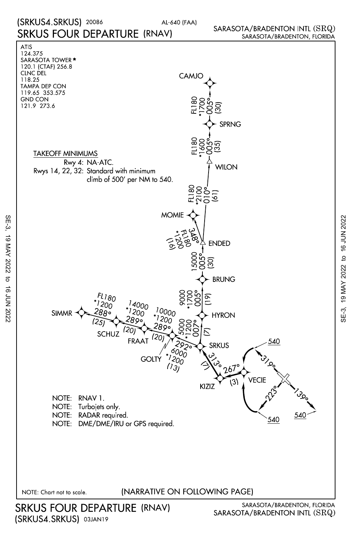## SARASOTA/BRADENTON INTL (SRQ) SARASOTA/BRADENTON, FLORIDA